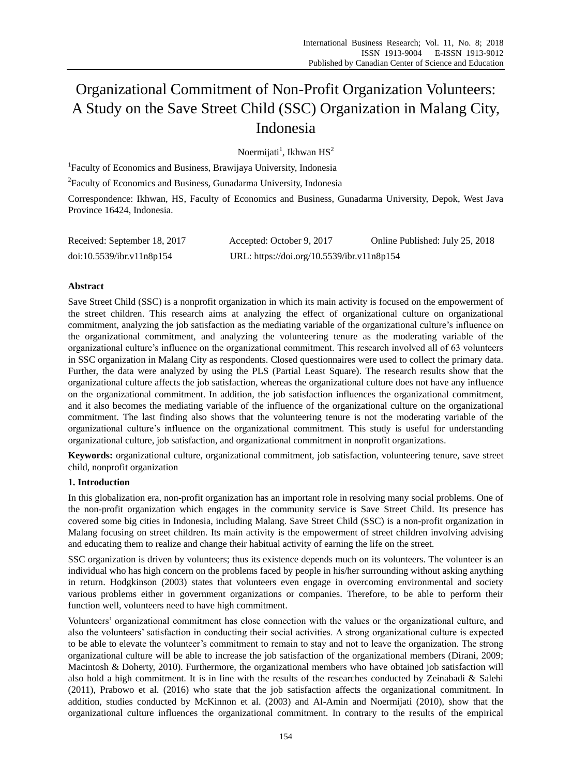# Organizational Commitment of Non-Profit Organization Volunteers: A Study on the Save Street Child (SSC) Organization in Malang City, Indonesia

Noermijati<sup>1</sup>, Ikhwan  $HS<sup>2</sup>$ 

1 Faculty of Economics and Business, Brawijaya University, Indonesia

<sup>2</sup>Faculty of Economics and Business, Gunadarma University, Indonesia

Correspondence: Ikhwan, HS, Faculty of Economics and Business, Gunadarma University, Depok, West Java Province 16424, Indonesia.

| Received: September 18, 2017 | Accepted: October 9, 2017                  | Online Published: July 25, 2018 |
|------------------------------|--------------------------------------------|---------------------------------|
| doi:10.5539/ibr.v11n8p154    | URL: https://doi.org/10.5539/ibr.v11n8p154 |                                 |

# **Abstract**

Save Street Child (SSC) is a nonprofit organization in which its main activity is focused on the empowerment of the street children. This research aims at analyzing the effect of organizational culture on organizational commitment, analyzing the job satisfaction as the mediating variable of the organizational culture's influence on the organizational commitment, and analyzing the volunteering tenure as the moderating variable of the organizational culture's influence on the organizational commitment. This research involved all of 63 volunteers in SSC organization in Malang City as respondents. Closed questionnaires were used to collect the primary data. Further, the data were analyzed by using the PLS (Partial Least Square). The research results show that the organizational culture affects the job satisfaction, whereas the organizational culture does not have any influence on the organizational commitment. In addition, the job satisfaction influences the organizational commitment, and it also becomes the mediating variable of the influence of the organizational culture on the organizational commitment. The last finding also shows that the volunteering tenure is not the moderating variable of the organizational culture's influence on the organizational commitment. This study is useful for understanding organizational culture, job satisfaction, and organizational commitment in nonprofit organizations.

**Keywords:** organizational culture, organizational commitment, job satisfaction, volunteering tenure, save street child, nonprofit organization

### **1. Introduction**

In this globalization era, non-profit organization has an important role in resolving many social problems. One of the non-profit organization which engages in the community service is Save Street Child. Its presence has covered some big cities in Indonesia, including Malang. Save Street Child (SSC) is a non-profit organization in Malang focusing on street children. Its main activity is the empowerment of street children involving advising and educating them to realize and change their habitual activity of earning the life on the street.

SSC organization is driven by volunteers; thus its existence depends much on its volunteers. The volunteer is an individual who has high concern on the problems faced by people in his/her surrounding without asking anything in return. Hodgkinson (2003) states that volunteers even engage in overcoming environmental and society various problems either in government organizations or companies. Therefore, to be able to perform their function well, volunteers need to have high commitment.

Volunteers' organizational commitment has close connection with the values or the organizational culture, and also the volunteers' satisfaction in conducting their social activities. A strong organizational culture is expected to be able to elevate the volunteer's commitment to remain to stay and not to leave the organization. The strong organizational culture will be able to increase the job satisfaction of the organizational members (Dirani, 2009; Macintosh & Doherty, 2010). Furthermore, the organizational members who have obtained job satisfaction will also hold a high commitment. It is in line with the results of the researches conducted by Zeinabadi & Salehi (2011), Prabowo et al. (2016) who state that the job satisfaction affects the organizational commitment. In addition, studies conducted by McKinnon et al. (2003) and Al-Amin and Noermijati (2010), show that the organizational culture influences the organizational commitment. In contrary to the results of the empirical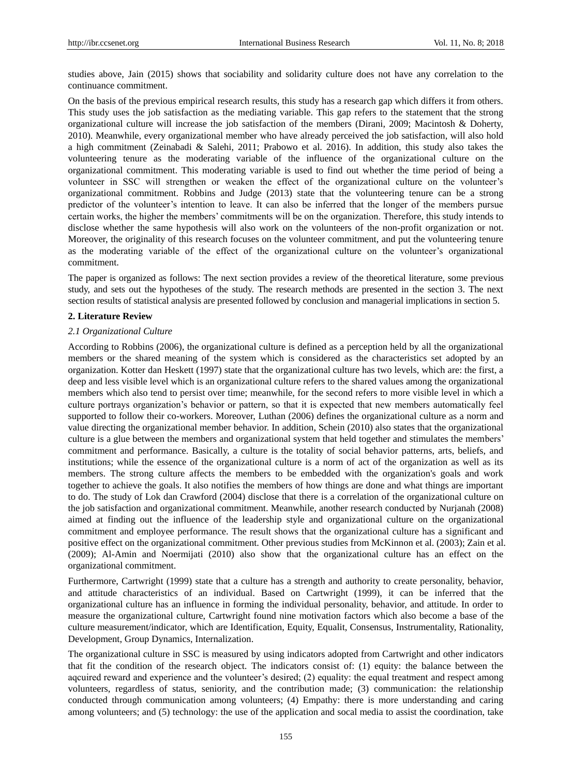studies above, Jain (2015) shows that sociability and solidarity culture does not have any correlation to the continuance commitment.

On the basis of the previous empirical research results, this study has a research gap which differs it from others. This study uses the job satisfaction as the mediating variable. This gap refers to the statement that the strong organizational culture will increase the job satisfaction of the members (Dirani, 2009; Macintosh & Doherty, 2010). Meanwhile, every organizational member who have already perceived the job satisfaction, will also hold a high commitment (Zeinabadi & Salehi, 2011; Prabowo et al. 2016). In addition, this study also takes the volunteering tenure as the moderating variable of the influence of the organizational culture on the organizational commitment. This moderating variable is used to find out whether the time period of being a volunteer in SSC will strengthen or weaken the effect of the organizational culture on the volunteer's organizational commitment. Robbins and Judge (2013) state that the volunteering tenure can be a strong predictor of the volunteer's intention to leave. It can also be inferred that the longer of the members pursue certain works, the higher the members' commitments will be on the organization. Therefore, this study intends to disclose whether the same hypothesis will also work on the volunteers of the non-profit organization or not. Moreover, the originality of this research focuses on the volunteer commitment, and put the volunteering tenure as the moderating variable of the effect of the organizational culture on the volunteer's organizational commitment.

The paper is organized as follows: The next section provides a review of the theoretical literature, some previous study, and sets out the hypotheses of the study. The research methods are presented in the section 3. The next section results of statistical analysis are presented followed by conclusion and managerial implications in section 5.

# **2. Literature Review**

### *2.1 Organizational Culture*

According to Robbins (2006), the organizational culture is defined as a perception held by all the organizational members or the shared meaning of the system which is considered as the characteristics set adopted by an organization. Kotter dan Heskett (1997) state that the organizational culture has two levels, which are: the first, a deep and less visible level which is an organizational culture refers to the shared values among the organizational members which also tend to persist over time; meanwhile, for the second refers to more visible level in which a culture portrays organization's behavior or pattern, so that it is expected that new members automatically feel supported to follow their co-workers. Moreover, Luthan (2006) defines the organizational culture as a norm and value directing the organizational member behavior. In addition, Schein (2010) also states that the organizational culture is a glue between the members and organizational system that held together and stimulates the members' commitment and performance. Basically, a culture is the totality of social behavior patterns, arts, beliefs, and institutions; while the essence of the organizational culture is a norm of act of the organization as well as its members. The strong culture affects the members to be embedded with the organization's goals and work together to achieve the goals. It also notifies the members of how things are done and what things are important to do. The study of Lok dan Crawford (2004) disclose that there is a correlation of the organizational culture on the job satisfaction and organizational commitment. Meanwhile, another research conducted by Nurjanah (2008) aimed at finding out the influence of the leadership style and organizational culture on the organizational commitment and employee performance. The result shows that the organizational culture has a significant and positive effect on the organizational commitment. Other previous studies from McKinnon et al. (2003); Zain et al. (2009); Al-Amin and Noermijati (2010) also show that the organizational culture has an effect on the organizational commitment.

Furthermore, Cartwright (1999) state that a culture has a strength and authority to create personality, behavior, and attitude characteristics of an individual. Based on Cartwright (1999), it can be inferred that the organizational culture has an influence in forming the individual personality, behavior, and attitude. In order to measure the organizational culture, Cartwright found nine motivation factors which also become a base of the culture measurement/indicator, which are Identification, Equity, Equalit, Consensus, Instrumentality, Rationality, Development, Group Dynamics, Internalization.

The organizational culture in SSC is measured by using indicators adopted from Cartwright and other indicators that fit the condition of the research object. The indicators consist of: (1) equity: the balance between the aqcuired reward and experience and the volunteer's desired; (2) equality: the equal treatment and respect among volunteers, regardless of status, seniority, and the contribution made; (3) communication: the relationship conducted through communication among volunteers; (4) Empathy: there is more understanding and caring among volunteers; and (5) technology: the use of the application and socal media to assist the coordination, take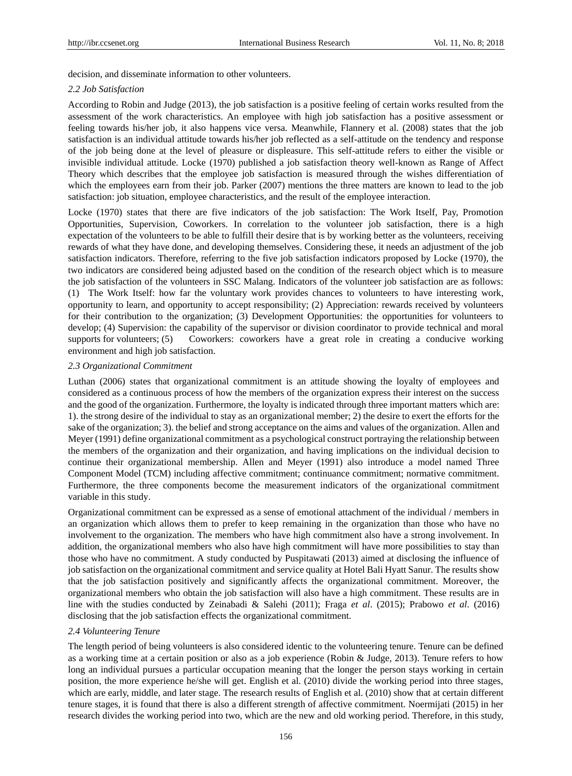decision, and disseminate information to other volunteers.

#### *2.2 Job Satisfaction*

According to Robin and Judge (2013), the job satisfaction is a positive feeling of certain works resulted from the assessment of the work characteristics. An employee with high job satisfaction has a positive assessment or feeling towards his/her job, it also happens vice versa. Meanwhile, Flannery et al. (2008) states that the job satisfaction is an individual attitude towards his/her job reflected as a self-attitude on the tendency and response of the job being done at the level of pleasure or displeasure. This self-attitude refers to either the visible or invisible individual attitude. Locke (1970) published a job satisfaction theory well-known as Range of Affect Theory which describes that the employee job satisfaction is measured through the wishes differentiation of which the employees earn from their job. Parker (2007) mentions the three matters are known to lead to the job satisfaction: job situation, employee characteristics, and the result of the employee interaction.

Locke (1970) states that there are five indicators of the job satisfaction: The Work Itself, Pay, Promotion Opportunities, Supervision, Coworkers. In correlation to the volunteer job satisfaction, there is a high expectation of the volunteers to be able to fulfill their desire that is by working better as the volunteers, receiving rewards of what they have done, and developing themselves. Considering these, it needs an adjustment of the job satisfaction indicators. Therefore, referring to the five job satisfaction indicators proposed by Locke (1970), the two indicators are considered being adjusted based on the condition of the research object which is to measure the job satisfaction of the volunteers in SSC Malang. Indicators of the volunteer job satisfaction are as follows: (1) The Work Itself: how far the voluntary work provides chances to volunteers to have interesting work, opportunity to learn, and opportunity to accept responsibility; (2) Appreciation: rewards received by volunteers for their contribution to the organization; (3) Development Opportunities: the opportunities for volunteers to develop; (4) Supervision: the capability of the supervisor or division coordinator to provide technical and moral supports for volunteers; (5) Coworkers: coworkers have a great role in creating a conducive working environment and high job satisfaction.

#### *2.3 Organizational Commitment*

Luthan (2006) states that organizational commitment is an attitude showing the loyalty of employees and considered as a continuous process of how the members of the organization express their interest on the success and the good of the organization. Furthermore, the loyalty is indicated through three important matters which are: 1). the strong desire of the individual to stay as an organizational member; 2) the desire to exert the efforts for the sake of the organization; 3). the belief and strong acceptance on the aims and values of the organization. Allen and Meyer (1991) define organizational commitment as a psychological construct portraying the relationship between the members of the organization and their organization, and having implications on the individual decision to continue their organizational membership. Allen and Meyer (1991) also introduce a model named Three Component Model (TCM) including affective commitment; continuance commitment; normative commitment. Furthermore, the three components become the measurement indicators of the organizational commitment variable in this study.

Organizational commitment can be expressed as a sense of emotional attachment of the individual / members in an organization which allows them to prefer to keep remaining in the organization than those who have no involvement to the organization. The members who have high commitment also have a strong involvement. In addition, the organizational members who also have high commitment will have more possibilities to stay than those who have no commitment. A study conducted by Puspitawati (2013) aimed at disclosing the influence of job satisfaction on the organizational commitment and service quality at Hotel Bali Hyatt Sanur. The results show that the job satisfaction positively and significantly affects the organizational commitment. Moreover, the organizational members who obtain the job satisfaction will also have a high commitment. These results are in line with the studies conducted by Zeinabadi & Salehi (2011); Fraga *et al*. (2015); Prabowo *et al*. (2016) disclosing that the job satisfaction effects the organizational commitment.

#### *2.4 Volunteering Tenure*

The length period of being volunteers is also considered identic to the volunteering tenure. Tenure can be defined as a working time at a certain position or also as a job experience (Robin & Judge, 2013). Tenure refers to how long an individual pursues a particular occupation meaning that the longer the person stays working in certain position, the more experience he/she will get. English et al. (2010) divide the working period into three stages, which are early, middle, and later stage. The research results of English et al. (2010) show that at certain different tenure stages, it is found that there is also a different strength of affective commitment. Noermijati (2015) in her research divides the working period into two, which are the new and old working period. Therefore, in this study,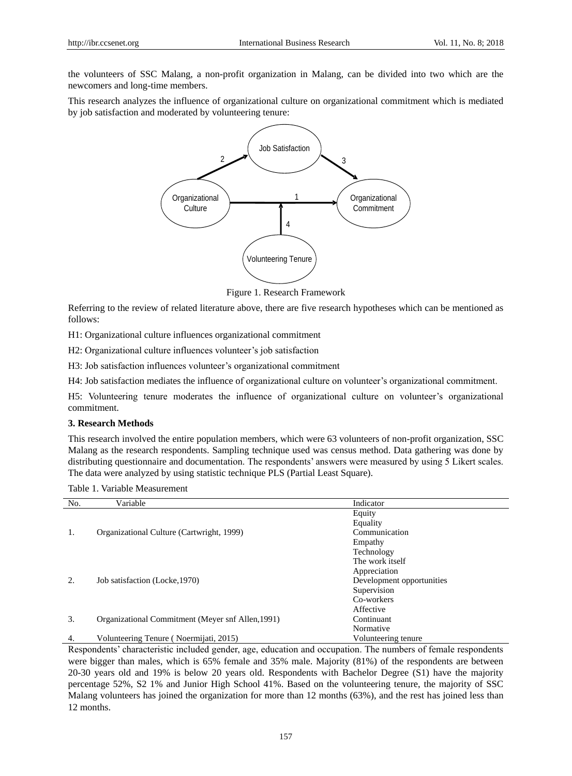the volunteers of SSC Malang, a non-profit organization in Malang, can be divided into two which are the newcomers and long-time members.

This research analyzes the influence of organizational culture on organizational commitment which is mediated by job satisfaction and moderated by volunteering tenure:



Figure 1. Research Framework

Referring to the review of related literature above, there are five research hypotheses which can be mentioned as follows:

H1: Organizational culture influences organizational commitment

H2: Organizational culture influences volunteer's job satisfaction

H3: Job satisfaction influences volunteer's organizational commitment

H4: Job satisfaction mediates the influence of organizational culture on volunteer's organizational commitment.

H5: Volunteering tenure moderates the influence of organizational culture on volunteer's organizational commitment.

# **3. Research Methods**

This research involved the entire population members, which were 63 volunteers of non-profit organization, SSC Malang as the research respondents. Sampling technique used was census method. Data gathering was done by distributing questionnaire and documentation. The respondents' answers were measured by using 5 Likert scales. The data were analyzed by using statistic technique PLS (Partial Least Square).

| Table 1. Variable Measurement |
|-------------------------------|
|                               |
|                               |

| No. | Variable                                          | Indicator                 |
|-----|---------------------------------------------------|---------------------------|
|     |                                                   | Equity                    |
|     |                                                   | Equality                  |
| 1.  | Organizational Culture (Cartwright, 1999)         | Communication             |
|     |                                                   | Empathy                   |
|     |                                                   | Technology                |
|     |                                                   | The work itself           |
|     |                                                   | Appreciation              |
| 2.  | Job satisfaction (Locke, 1970)                    | Development opportunities |
|     |                                                   | Supervision               |
|     |                                                   | Co-workers                |
|     |                                                   | Affective                 |
| 3.  | Organizational Commitment (Meyer snf Allen, 1991) | Continuant                |
|     |                                                   | Normative                 |
| 4.  | Volunteering Tenure (Noermijati, 2015)            | Volunteering tenure       |

Respondents' characteristic included gender, age, education and occupation. The numbers of female respondents were bigger than males, which is 65% female and 35% male. Majority (81%) of the respondents are between 20-30 years old and 19% is below 20 years old. Respondents with Bachelor Degree (S1) have the majority percentage 52%, S2 1% and Junior High School 41%. Based on the volunteering tenure, the majority of SSC Malang volunteers has joined the organization for more than 12 months (63%), and the rest has joined less than 12 months.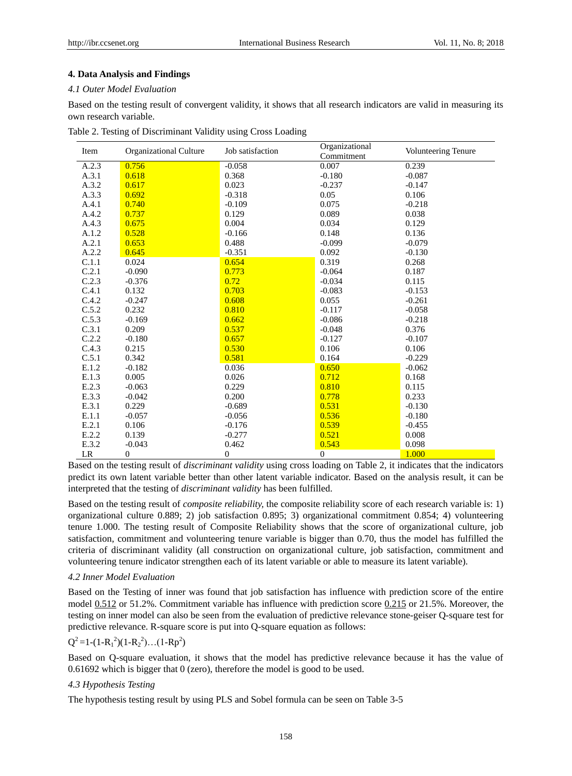# **4. Data Analysis and Findings**

## *4.1 Outer Model Evaluation*

Based on the testing result of convergent validity, it shows that all research indicators are valid in measuring its own research variable.

| Item  | Organizational Culture | Job satisfaction | Organizational<br>Commitment | Volunteering Tenure |
|-------|------------------------|------------------|------------------------------|---------------------|
| A.2.3 | 0.756                  | $-0.058$         | 0.007                        | 0.239               |
| A.3.1 | 0.618                  | 0.368            | $-0.180$                     | $-0.087$            |
| A.3.2 | 0.617                  | 0.023            | $-0.237$                     | $-0.147$            |
| A.3.3 | 0.692                  | $-0.318$         | 0.05                         | 0.106               |
| A.4.1 | 0.740                  | $-0.109$         | 0.075                        | $-0.218$            |
| A.4.2 | 0.737                  | 0.129            | 0.089                        | 0.038               |
| A.4.3 | 0.675                  | 0.004            | 0.034                        | 0.129               |
| A.1.2 | 0.528                  | $-0.166$         | 0.148                        | 0.136               |
| A.2.1 | 0.653                  | 0.488            | $-0.099$                     | $-0.079$            |
| A.2.2 | 0.645                  | $-0.351$         | 0.092                        | $-0.130$            |
| C.1.1 | 0.024                  | 0.654            | 0.319                        | 0.268               |
| C.2.1 | $-0.090$               | 0.773            | $-0.064$                     | 0.187               |
| C.2.3 | $-0.376$               | 0.72             | $-0.034$                     | 0.115               |
| C.4.1 | 0.132                  | 0.703            | $-0.083$                     | $-0.153$            |
| C.4.2 | $-0.247$               | 0.608            | 0.055                        | $-0.261$            |
| C.5.2 | 0.232                  | 0.810            | $-0.117$                     | $-0.058$            |
| C.5.3 | $-0.169$               | 0.662            | $-0.086$                     | $-0.218$            |
| C.3.1 | 0.209                  | 0.537            | $-0.048$                     | 0.376               |
| C.2.2 | $-0.180$               | 0.657            | $-0.127$                     | $-0.107$            |
| C.4.3 | 0.215                  | 0.530            | 0.106                        | 0.106               |
| C.5.1 | 0.342                  | 0.581            | 0.164                        | $-0.229$            |
| E.1.2 | $-0.182$               | 0.036            | 0.650                        | $-0.062$            |
| E.1.3 | 0.005                  | 0.026            | 0.712                        | 0.168               |
| E.2.3 | $-0.063$               | 0.229            | 0.810                        | 0.115               |
| E.3.3 | $-0.042$               | 0.200            | 0.778                        | 0.233               |
| E.3.1 | 0.229                  | $-0.689$         | 0.531                        | $-0.130$            |
| E.1.1 | $-0.057$               | $-0.056$         | 0.536                        | $-0.180$            |
| E.2.1 | 0.106                  | $-0.176$         | 0.539                        | $-0.455$            |
| E.2.2 | 0.139                  | $-0.277$         | 0.521                        | 0.008               |
| E.3.2 | $-0.043$               | 0.462            | 0.543                        | 0.098               |
| LR    | $\mathbf{0}$           | $\boldsymbol{0}$ | $\boldsymbol{0}$             | 1.000               |

Table 2. Testing of Discriminant Validity using Cross Loading

Based on the testing result of *discriminant validity* using cross loading on Table 2, it indicates that the indicators predict its own latent variable better than other latent variable indicator. Based on the analysis result, it can be interpreted that the testing of *discriminant validity* has been fulfilled.

Based on the testing result of *composite reliability,* the composite reliability score of each research variable is: 1) organizational culture 0.889; 2) job satisfaction 0.895; 3) organizational commitment 0.854; 4) volunteering tenure 1.000. The testing result of Composite Reliability shows that the score of organizational culture, job satisfaction, commitment and volunteering tenure variable is bigger than 0.70, thus the model has fulfilled the criteria of discriminant validity (all construction on organizational culture, job satisfaction, commitment and volunteering tenure indicator strengthen each of its latent variable or able to measure its latent variable).

# *4.2 Inner Model Evaluation*

Based on the Testing of inner was found that job satisfaction has influence with prediction score of the entire model 0.512 or 51.2%. Commitment variable has influence with prediction score 0.215 or 21.5%. Moreover, the testing on inner model can also be seen from the evaluation of predictive relevance stone-geiser Q-square test for predictive relevance. R-square score is put into Q-square equation as follows:

# $Q^2 = 1 - (1 - R_1^2)(1 - R_2^2)...(1 - R_p^2)$

Based on Q-square evaluation, it shows that the model has predictive relevance because it has the value of 0.61692 which is bigger that 0 (zero), therefore the model is good to be used.

# *4.3 Hypothesis Testing*

The hypothesis testing result by using PLS and Sobel formula can be seen on Table 3-5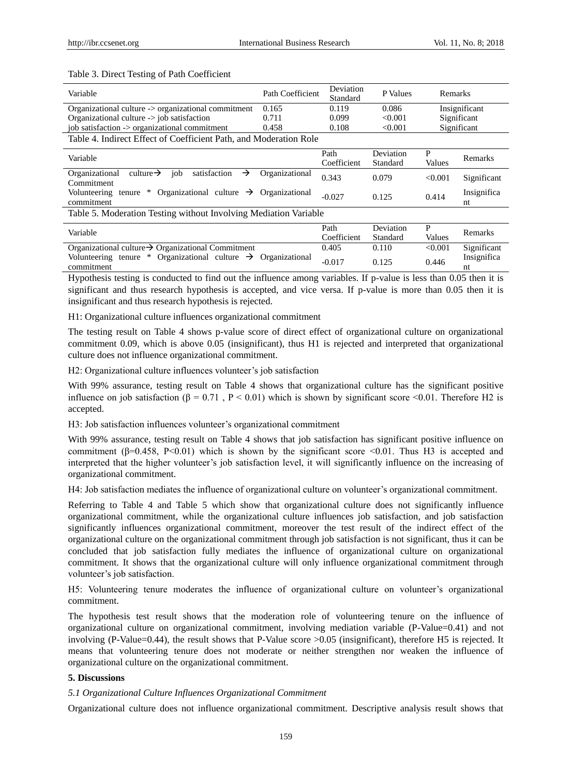| Variable                                                                            | <b>Path Coefficient</b> | Deviation<br>Standard | P Values  | Remarks       |                   |  |
|-------------------------------------------------------------------------------------|-------------------------|-----------------------|-----------|---------------|-------------------|--|
| Organizational culture -> organizational commitment<br>0.165                        |                         | 0.119                 | 0.086     | Insignificant |                   |  |
| Organizational culture $\rightarrow$ job satisfaction                               | 0.711                   | 0.099                 | < 0.001   | Significant   |                   |  |
| job satisfaction -> organizational commitment                                       | 0.458                   | 0.108                 | < 0.001   | Significant   |                   |  |
| Table 4. Indirect Effect of Coefficient Path, and Moderation Role                   |                         |                       |           |               |                   |  |
| Variable                                                                            |                         | Path                  | Deviation | P             | Remarks           |  |
|                                                                                     |                         | Coefficient           | Standard  | Values        |                   |  |
| job<br>satisfaction<br>culture $\rightarrow$<br>Organizational<br>→                 | Organizational          | 0.343                 | 0.079     | < 0.001       | Significant       |  |
| Commitment                                                                          |                         |                       |           |               |                   |  |
| Organizational culture $\rightarrow$<br>$*$<br>Volunteering<br>tenure<br>commitment | Organizational          | $-0.027$              | 0.125     | 0.414         | Insignifica<br>nt |  |
| Table 5. Moderation Testing without Involving Mediation Variable                    |                         |                       |           |               |                   |  |
| Variable                                                                            |                         | Path                  | Deviation | P             | Remarks           |  |
|                                                                                     |                         | Coefficient           | Standard  | Values        |                   |  |
| Organizational culture $\rightarrow$ Organizational Commitment                      |                         | 0.405                 | 0.110     | < 0.001       | Significant       |  |
| * Organizational culture $\rightarrow$<br>Volunteering tenure<br>commitment         | Organizational          | $-0.017$              | 0.125     | 0.446         | Insignifica<br>nt |  |

#### Table 3. Direct Testing of Path Coefficient

Hypothesis testing is conducted to find out the influence among variables. If p-value is less than 0.05 then it is significant and thus research hypothesis is accepted, and vice versa. If p-value is more than 0.05 then it is insignificant and thus research hypothesis is rejected.

H1: Organizational culture influences organizational commitment

The testing result on Table 4 shows p-value score of direct effect of organizational culture on organizational commitment 0.09, which is above 0.05 (insignificant), thus H1 is rejected and interpreted that organizational culture does not influence organizational commitment.

H2: Organizational culture influences volunteer's job satisfaction

With 99% assurance, testing result on Table 4 shows that organizational culture has the significant positive influence on job satisfaction ( $\beta = 0.71$ ,  $P < 0.01$ ) which is shown by significant score <0.01. Therefore H2 is accepted.

H3: Job satisfaction influences volunteer's organizational commitment

With 99% assurance, testing result on Table 4 shows that job satisfaction has significant positive influence on commitment ( $\beta$ =0.458, P<0.01) which is shown by the significant score <0.01. Thus H3 is accepted and interpreted that the higher volunteer's job satisfaction level, it will significantly influence on the increasing of organizational commitment.

H4: Job satisfaction mediates the influence of organizational culture on volunteer's organizational commitment.

Referring to Table 4 and Table 5 which show that organizational culture does not significantly influence organizational commitment, while the organizational culture influences job satisfaction, and job satisfaction significantly influences organizational commitment, moreover the test result of the indirect effect of the organizational culture on the organizational commitment through job satisfaction is not significant, thus it can be concluded that job satisfaction fully mediates the influence of organizational culture on organizational commitment. It shows that the organizational culture will only influence organizational commitment through volunteer's job satisfaction.

H5: Volunteering tenure moderates the influence of organizational culture on volunteer's organizational commitment.

The hypothesis test result shows that the moderation role of volunteering tenure on the influence of organizational culture on organizational commitment, involving mediation variable (P-Value=0.41) and not involving (P-Value=0.44), the result shows that P-Value score >0.05 (insignificant), therefore H5 is rejected. It means that volunteering tenure does not moderate or neither strengthen nor weaken the influence of organizational culture on the organizational commitment.

### **5. Discussions**

#### *5.1 Organizational Culture Influences Organizational Commitment*

Organizational culture does not influence organizational commitment. Descriptive analysis result shows that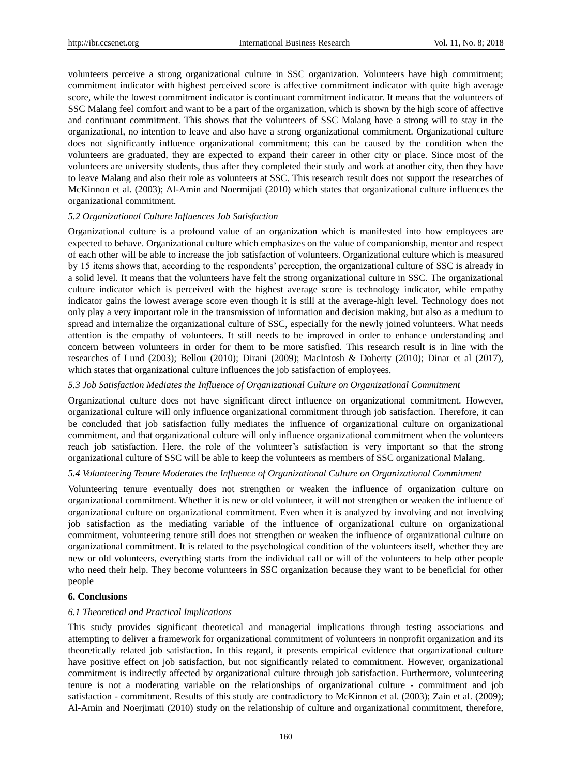volunteers perceive a strong organizational culture in SSC organization. Volunteers have high commitment; commitment indicator with highest perceived score is affective commitment indicator with quite high average score, while the lowest commitment indicator is continuant commitment indicator. It means that the volunteers of SSC Malang feel comfort and want to be a part of the organization, which is shown by the high score of affective and continuant commitment. This shows that the volunteers of SSC Malang have a strong will to stay in the organizational, no intention to leave and also have a strong organizational commitment. Organizational culture does not significantly influence organizational commitment; this can be caused by the condition when the volunteers are graduated, they are expected to expand their career in other city or place. Since most of the volunteers are university students, thus after they completed their study and work at another city, then they have to leave Malang and also their role as volunteers at SSC. This research result does not support the researches of McKinnon et al. (2003); Al-Amin and Noermijati (2010) which states that organizational culture influences the organizational commitment.

## *5.2 Organizational Culture Influences Job Satisfaction*

Organizational culture is a profound value of an organization which is manifested into how employees are expected to behave. Organizational culture which emphasizes on the value of companionship, mentor and respect of each other will be able to increase the job satisfaction of volunteers. Organizational culture which is measured by 15 items shows that, according to the respondents' perception, the organizational culture of SSC is already in a solid level. It means that the volunteers have felt the strong organizational culture in SSC. The organizational culture indicator which is perceived with the highest average score is technology indicator, while empathy indicator gains the lowest average score even though it is still at the average-high level. Technology does not only play a very important role in the transmission of information and decision making, but also as a medium to spread and internalize the organizational culture of SSC, especially for the newly joined volunteers. What needs attention is the empathy of volunteers. It still needs to be improved in order to enhance understanding and concern between volunteers in order for them to be more satisfied. This research result is in line with the researches of Lund (2003); Bellou (2010); Dirani (2009); MacIntosh & Doherty (2010); Dinar et al (2017), which states that organizational culture influences the job satisfaction of employees.

### *5.3 Job Satisfaction Mediates the Influence of Organizational Culture on Organizational Commitment*

Organizational culture does not have significant direct influence on organizational commitment. However, organizational culture will only influence organizational commitment through job satisfaction. Therefore, it can be concluded that job satisfaction fully mediates the influence of organizational culture on organizational commitment, and that organizational culture will only influence organizational commitment when the volunteers reach job satisfaction. Here, the role of the volunteer's satisfaction is very important so that the strong organizational culture of SSC will be able to keep the volunteers as members of SSC organizational Malang.

# *5.4 Volunteering Tenure Moderates the Influence of Organizational Culture on Organizational Commitment*

Volunteering tenure eventually does not strengthen or weaken the influence of organization culture on organizational commitment. Whether it is new or old volunteer, it will not strengthen or weaken the influence of organizational culture on organizational commitment. Even when it is analyzed by involving and not involving job satisfaction as the mediating variable of the influence of organizational culture on organizational commitment, volunteering tenure still does not strengthen or weaken the influence of organizational culture on organizational commitment. It is related to the psychological condition of the volunteers itself, whether they are new or old volunteers, everything starts from the individual call or will of the volunteers to help other people who need their help. They become volunteers in SSC organization because they want to be beneficial for other people

#### **6. Conclusions**

## *6.1 Theoretical and Practical Implications*

This study provides significant theoretical and managerial implications through testing associations and attempting to deliver a framework for organizational commitment of volunteers in nonprofit organization and its theoretically related job satisfaction. In this regard, it presents empirical evidence that organizational culture have positive effect on job satisfaction, but not significantly related to commitment. However, organizational commitment is indirectly affected by organizational culture through job satisfaction. Furthermore, volunteering tenure is not a moderating variable on the relationships of organizational culture - commitment and job satisfaction - commitment. Results of this study are contradictory to McKinnon et al. (2003); Zain et al. (2009); Al-Amin and Noerjimati (2010) study on the relationship of culture and organizational commitment, therefore,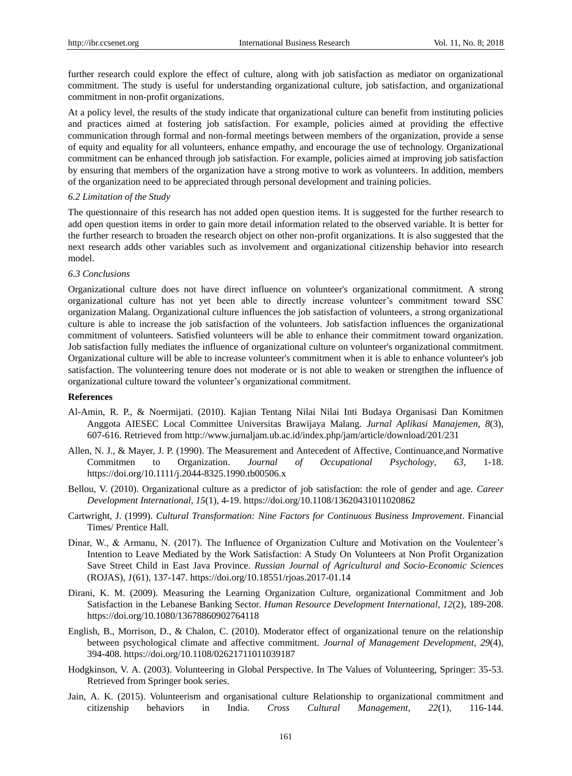further research could explore the effect of culture, along with job satisfaction as mediator on organizational commitment. The study is useful for understanding organizational culture, job satisfaction, and organizational commitment in non-profit organizations.

At a policy level, the results of the study indicate that organizational culture can benefit from instituting policies and practices aimed at fostering job satisfaction. For example, policies aimed at providing the effective communication through formal and non-formal meetings between members of the organization, provide a sense of equity and equality for all volunteers, enhance empathy, and encourage the use of technology. Organizational commitment can be enhanced through job satisfaction. For example, policies aimed at improving job satisfaction by ensuring that members of the organization have a strong motive to work as volunteers. In addition, members of the organization need to be appreciated through personal development and training policies.

#### *6.2 Limitation of the Study*

The questionnaire of this research has not added open question items. It is suggested for the further research to add open question items in order to gain more detail information related to the observed variable. It is better for the further research to broaden the research object on other non-profit organizations. It is also suggested that the next research adds other variables such as involvement and organizational citizenship behavior into research model.

#### *6.3 Conclusions*

Organizational culture does not have direct influence on volunteer's organizational commitment. A strong organizational culture has not yet been able to directly increase volunteer's commitment toward SSC organization Malang. Organizational culture influences the job satisfaction of volunteers, a strong organizational culture is able to increase the job satisfaction of the volunteers. Job satisfaction influences the organizational commitment of volunteers. Satisfied volunteers will be able to enhance their commitment toward organization. Job satisfaction fully mediates the influence of organizational culture on volunteer's organizational commitment. Organizational culture will be able to increase volunteer's commitment when it is able to enhance volunteer's job satisfaction. The volunteering tenure does not moderate or is not able to weaken or strengthen the influence of organizational culture toward the volunteer's organizational commitment.

#### **References**

- Al-Amin, R. P., & Noermijati. (2010). Kajian Tentang Nilai Nilai Inti Budaya Organisasi Dan Komitmen Anggota AIESEC Local Committee Universitas Brawijaya Malang*. Jurnal Aplikasi Manajemen, 8*(3), 607-616. Retrieved from http://www.jurnaljam.ub.ac.id/index.php/jam/article/download/201/231
- Allen, N. J., & Mayer, J. P. (1990). The Measurement and Antecedent of Affective, Continuance,and Normative Commitmen to Organization. *Journal of Occupational Psychology*, *63,* 1-18. https://doi.org/10.1111/j.2044-8325.1990.tb00506.x
- Bellou, V. (2010). Organizational culture as a predictor of job satisfaction: the role of gender and age. *Career Development International*, *15*(1), 4-19. https://doi.org/10.1108/13620431011020862
- Cartwright, J. (1999). *Cultural Transformation: Nine Factors for Continuous Business Improvement*. Financial Times/ Prentice Hall.
- Dinar, W., & Armanu, N. (2017). The Influence of Organization Culture and Motivation on the Voulenteer's Intention to Leave Mediated by the Work Satisfaction: A Study On Volunteers at Non Profit Organization Save Street Child in East Java Province. *Russian Journal of Agricultural and Socio-Economic Sciences* (ROJAS), *1*(61), 137-147. https://doi.org/10.18551/rjoas.2017-01.14
- Dirani, K. M. (2009). Measuring the Learning Organization Culture, organizational Commitment and Job Satisfaction in the Lebanese Banking Sector. *Human Resource Development International*, *12*(2), 189-208. https://doi.org/10.1080/13678860902764118
- English, B., Morrison, D., & Chalon, C. (2010). Moderator effect of organizational tenure on the relationship between psychological climate and affective commitment. *Journal of Management Development*, *29*(4), 394-408. https://doi.org/10.1108/02621711011039187
- Hodgkinson, V. A. (2003). Volunteering in Global Perspective. In The Values of Volunteering, Springer: 35-53. Retrieved from Springer book series.
- Jain, A. K. (2015). Volunteerism and organisational culture Relationship to organizational commitment and citizenship behaviors in India. *Cross Cultural Management*, *22*(1), 116-144.